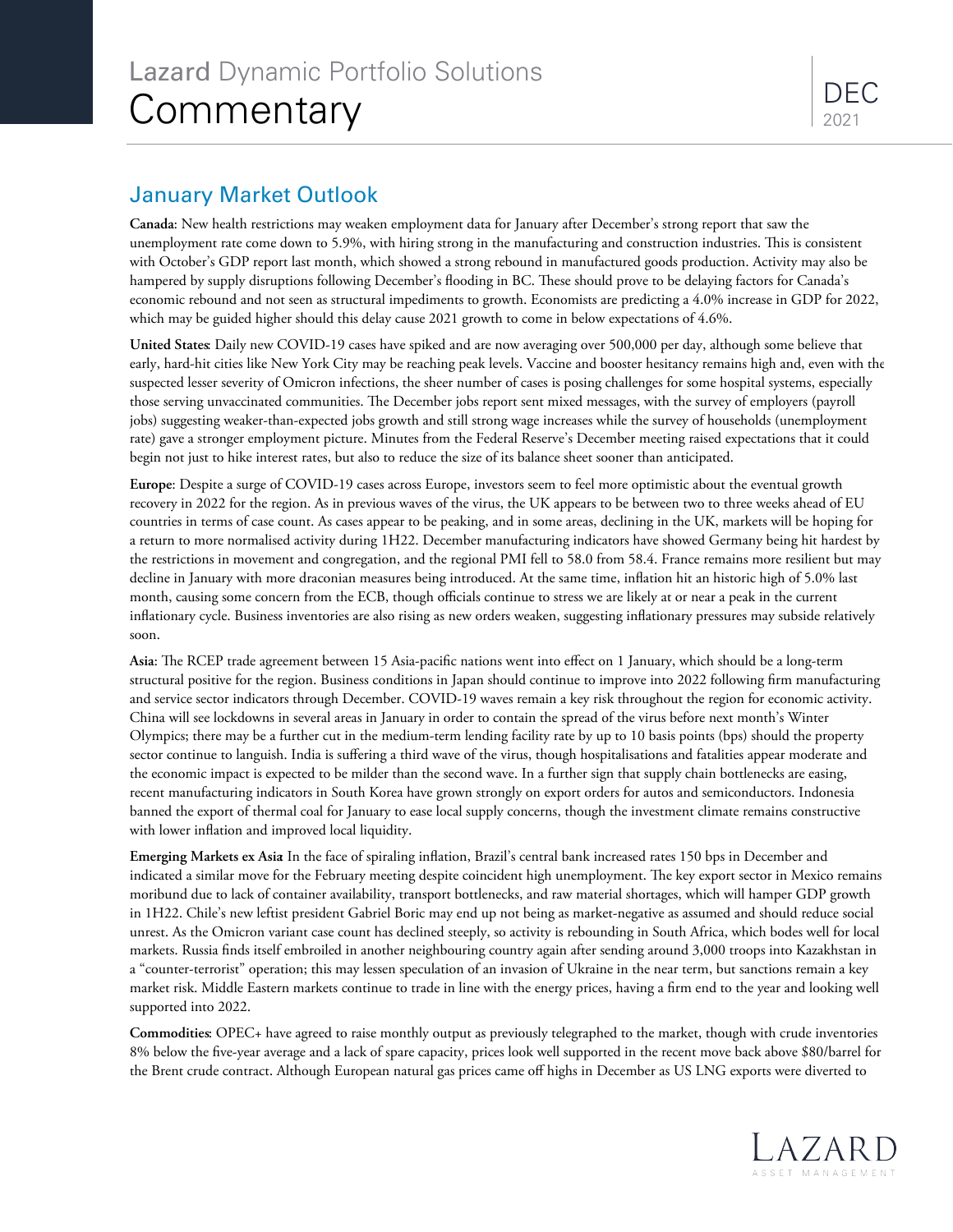## January Market Outlook

**Canada**: New health restrictions may weaken employment data for January after December's strong report that saw the unemployment rate come down to 5.9%, with hiring strong in the manufacturing and construction industries. This is consistent with October's GDP report last month, which showed a strong rebound in manufactured goods production. Activity may also be hampered by supply disruptions following December's flooding in BC. These should prove to be delaying factors for Canada's economic rebound and not seen as structural impediments to growth. Economists are predicting a 4.0% increase in GDP for 2022, which may be guided higher should this delay cause 2021 growth to come in below expectations of 4.6%.

**United States**: Daily new COVID-19 cases have spiked and are now averaging over 500,000 per day, although some believe that early, hard-hit cities like New York City may be reaching peak levels. Vaccine and booster hesitancy remains high and, even with the suspected lesser severity of Omicron infections, the sheer number of cases is posing challenges for some hospital systems, especially those serving unvaccinated communities. ǁe December jobs report sent mixed messages, with the survey of employers (payroll jobs) suggesting weaker-than-expected jobs growth and still strong wage increases while the survey of households (unemployment rate) gave a stronger employment picture. Minutes from the Federal Reserve's December meeting raised expectations that it could begin not just to hike interest rates, but also to reduce the size of its balance sheet sooner than anticipated.

**Europe**: Despite a surge of COVID-19 cases across Europe, investors seem to feel more optimistic about the eventual growth recovery in 2022 for the region. As in previous waves of the virus, the UK appears to be between two to three weeks ahead of EU countries in terms of case count. As cases appear to be peaking, and in some areas, declining in the UK, markets will be hoping for a return to more normalised activity during 1H22. December manufacturing indicators have showed Germany being hit hardest by the restrictions in movement and congregation, and the regional PMI fell to 58.0 from 58.4. France remains more resilient but may decline in January with more draconian measures being introduced. At the same time, inflation hit an historic high of 5.0% last month, causing some concern from the ECB, though officials continue to stress we are likely at or near a peak in the current inflationary cycle. Business inventories are also rising as new orders weaken, suggesting inflationary pressures may subside relatively soon.

Asia: The RCEP trade agreement between 15 Asia-pacific nations went into effect on 1 January, which should be a long-term structural positive for the region. Business conditions in Japan should continue to improve into 2022 following firm manufacturing and service sector indicators through December. COVID-19 waves remain a key risk throughout the region for economic activity. China will see lockdowns in several areas in January in order to contain the spread of the virus before next month's Winter Olympics; there may be a further cut in the medium-term lending facility rate by up to 10 basis points (bps) should the property sector continue to languish. India is suffering a third wave of the virus, though hospitalisations and fatalities appear moderate and the economic impact is expected to be milder than the second wave. In a further sign that supply chain bottlenecks are easing, recent manufacturing indicators in South Korea have grown strongly on export orders for autos and semiconductors. Indonesia banned the export of thermal coal for January to ease local supply concerns, though the investment climate remains constructive with lower inflation and improved local liquidity.

Emerging Markets ex Asia In the face of spiraling inflation, Brazil's central bank increased rates 150 bps in December and indicated a similar move for the February meeting despite coincident high unemployment. The key export sector in Mexico remains moribund due to lack of container availability, transport bottlenecks, and raw material shortages, which will hamper GDP growth in 1H22. Chile's new leftist president Gabriel Boric may end up not being as market-negative as assumed and should reduce social unrest. As the Omicron variant case count has declined steeply, so activity is rebounding in South Africa, which bodes well for local markets. Russia finds itself embroiled in another neighbouring country again after sending around 3,000 troops into Kazakhstan in <sup>a</sup>"counter-terrorist" operation; this may lessen speculation of an invasion of Ukraine in the near term, but sanctions remain a key market risk. Middle Eastern markets continue to trade in line with the energy prices, having a firm end to the year and looking well supported into 2022.

**Commodities**: OPEC+ have agreed to raise monthly output as previously telegraphed to the market, though with crude inventories 8% below the five-year average and a lack of spare capacity, prices look well supported in the recent move back above \$80/barrel for the Brent crude contract. Although European natural gas prices came oʧ highs in December as US LNG exports were diverted to

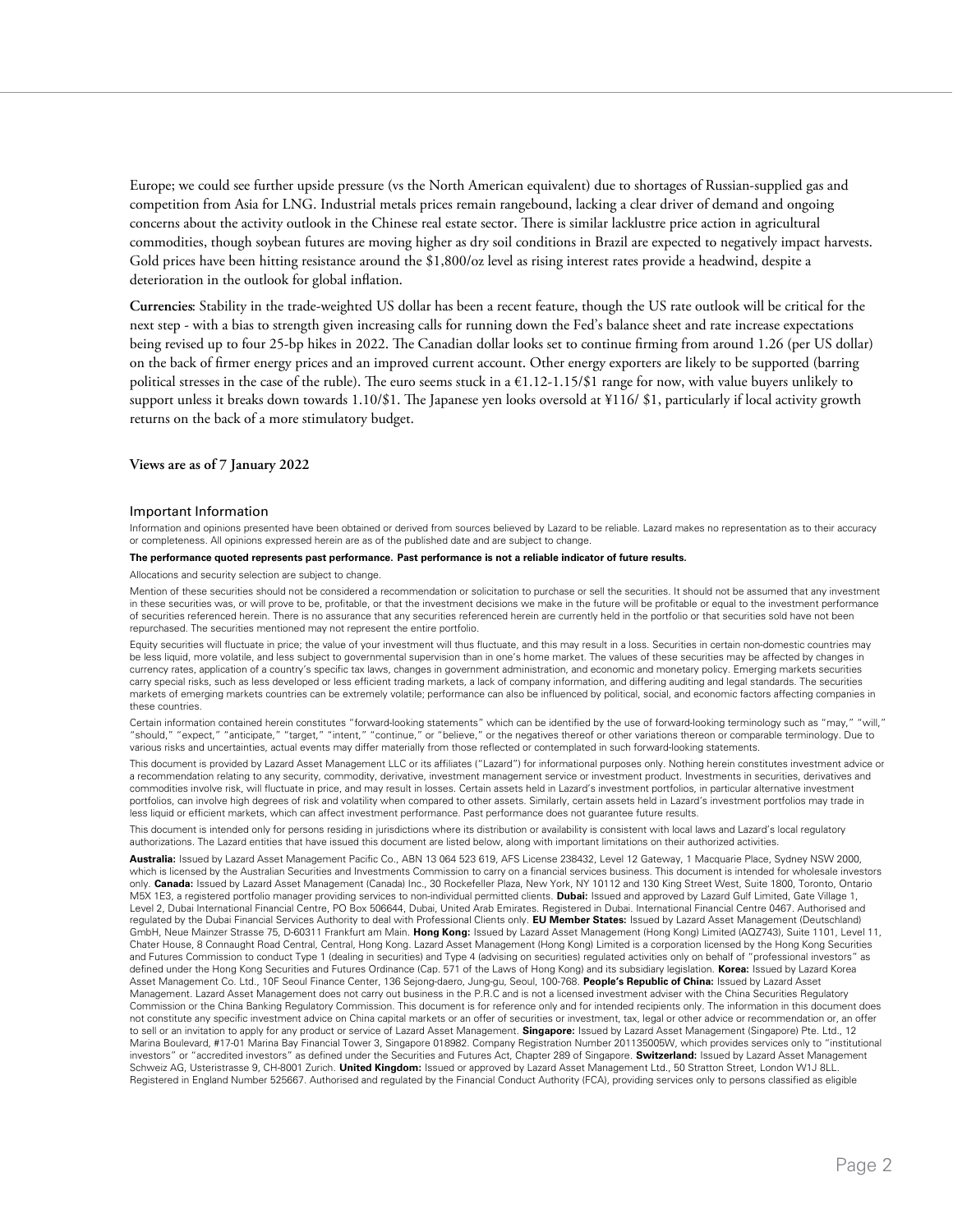Europe; we could see further upside pressure (vs the North American equivalent) due to shortages of Russian-supplied gas and competition from Asia for LNG. Industrial metals prices remain rangebound, lacking a clear driver of demand and ongoing concerns about the activity outlook in the Chinese real estate sector. There is similar lacklustre price action in agricultural commodities, though soybean futures are moving higher as dry soil conditions in Brazil are expected to negatively impact harvests. Gold prices have been hitting resistance around the \$1,800/oz level as rising interest rates provide a headwind, despite a deterioration in the outlook for global inflation.

**Currencies**: Stability in the trade-weighted US dollar has been a recent feature, though the US rate outlook will be critical for the next step - with a bias to strength given increasing calls for running down the Fed's balance sheet and rate increase expectations being revised up to four 25-bp hikes in 2022. The Canadian dollar looks set to continue firming from around 1.26 (per US dollar) on the back of firmer energy prices and an improved current account. Other energy exporters are likely to be supported (barring political stresses in the case of the ruble). The euro seems stuck in a  $\epsilon$ 1.12-1.15/\$1 range for now, with value buyers unlikely to support unless it breaks down towards 1.10/\$1. The Japanese yen looks oversold at ¥116/ \$1, particularly if local activity growth returns on the back of a more stimulatory budget.

**Views are as of 7 January 2022**

## Important Information

Information and opinions presented have been obtained or derived from sources believed by Lazard to be reliable. Lazard makes no representation as to their accuracy or completeness. All opinions expressed herein are as of the published date and are subject to change.

## **The performance quoted represents past performance. Past performance is not a reliable indicator of future results.**

## Allocations and security selection are subject to change.

Mention of these securities should not be considered a recommendation or solicitation to purchase or sell the securities. It should not be assumed that any investment in these securities was, or will prove to be, profitable, or that the investment decisions we make in the future will be profitable or equal to the investment performance of securities referenced herein. There is no assurance that any securities referenced herein are currently held in the portfolio or that securities sold have not been repurchased. The securities mentioned may not represent the entire portfolio.

Equity securities will fluctuate in price; the value of your investment will thus fluctuate, and this may result in a loss. Securities in certain non-domestic countries may be less liquid, more volatile, and less subject to governmental supervision than in one's home market. The values of these securities may be affected by changes in currency rates, application of a country's specific tax laws, changes in government administration, and economic and monetary policy. Emerging markets securities carry special risks, such as less developed or less efficient trading markets, a lack of company information, and differing auditing and legal standards. The securities markets of emerging markets countries can be extremely volatile; performance can also be influenced by political, social, and economic factors affecting companies in these countries.

Certain information contained herein constitutes "forward-looking statements" which can be identified by the use of forward-looking terminology such as "may," "will," "should," "expect," "anticipate," "target," "intent," "continue," or "believe," or the negatives thereof or other variations thereon or comparable terminology. Due to various risks and uncertainties, actual events may differ materially from those reflected or contemplated in such forward-looking statements.

This document is provided by Lazard Asset Management LLC or its affiliates ("Lazard") for informational purposes only. Nothing herein constitutes investment advice or a recommendation relating to any security, commodity, derivative, investment management service or investment product. Investments in securities, derivatives and commodities involve risk, will þuctuate in price, and may result in losses. Certain assets held in Lazard's investment portfolios, in particular alternative investment portfolios, can involve high degrees of risk and volatility when compared to other assets. Similarly, certain assets held in Lazard's investment portfolios may trade in less liquid or efficient markets, which can affect investment performance. Past performance does not guarantee future results.

This document is intended only for persons residing in jurisdictions where its distribution or availability is consistent with local laws and Lazard's local regulatory authorizations. The Lazard entities that have issued this document are listed below, along with important limitations on their authorized activities.

Australia: Issued by Lazard Asset Management Pacific Co., ABN 13 064 523 619, AFS License 238432, Level 12 Gateway, 1 Macquarie Place, Sydney NSW 2000, which is licensed by the Australian Securities and Investments Commission to carry on a financial services business. This document is intended for wholesale investors only. **Canada:** Issued by Lazard Asset Management (Canada) Inc., 30 Rockefeller Plaza, New York, NY 10112 and 130 King Street West, Suite 1800, Toronto, Ontario M5X 1E3, a registered portfolio manager providing services to non-individual permitted clients. **Dubai:** Issued and approved by Lazard Gulf Limited, Gate Village 1, Level 2, Dubai International Financial Centre, PO Box 506644, Dubai, United Arab Emirates. Registered in Dubai. International Financial Centre 0467. Authorised and regulated by the Dubai Financial Services Authority to deal with Professional Clients only. **EU Member States:** Issued by Lazard Asset Management (Deutschland) GmbH, Neue Mainzer Strasse 75, D-60311 Frankfurt am Main. **Hong Kong:** Issued by Lazard Asset Management (Hong Kong) Limited (AQZ743), Suite 1101, Level 11, Chater House, 8 Connaught Road Central, Central, Hong Kong. Lazard Asset Management (Hong Kong) Limited is a corporation licensed by the Hong Kong Securities and Futures Commission to conduct Type 1 (dealing in securities) and Type 4 (advising on securities) regulated activities only on behalf of "professional investors" as defined under the Hong Kong Securities and Futures Ordinance (Cap. 571 of the Laws of Hong Kong) and its subsidiary legislation. **Korea:** Issued by Lazard Korea Asset Management Co. Ltd., 10F Seoul Finance Center, 136 Sejong-daero, Jung-gu, Seoul, 100-768. **People's Republic of China:** Issued by Lazard Asset Management. Lazard Asset Management does not carry out business in the P.R.C and is not a licensed investment adviser with the China Securities Regulatory Commission or the China Banking Regulatory Commission. This document is for reference only and for intended recipients only. The information in this document does not constitute any specific investment advice on China capital markets or an offer of securities or investment, tax, legal or other advice or recommendation or, an offer to sell or an invitation to apply for any product or service of Lazard Asset Management. **Singapore:** Issued by Lazard Asset Management (Singapore) Pte. Ltd., 12 Marina Boulevard, #17-01 Marina Bay Financial Tower 3, Singapore 018982. Company Registration Number 201135005W, which provides services only to "institutional investors" or "accredited investors" as defined under the Securities and Futures Act, Chapter 289 of Singapore. Switzerland: Issued by Lazard Asset Management Schweiz AG, Usteristrasse 9, CH-8001 Zurich. **United Kingdom:** Issued or approved by Lazard Asset Management Ltd., 50 Stratton Street, London W1J 8LL. Registered in England Number 525667. Authorised and regulated by the Financial Conduct Authority (FCA), providing services only to persons classified as eligible